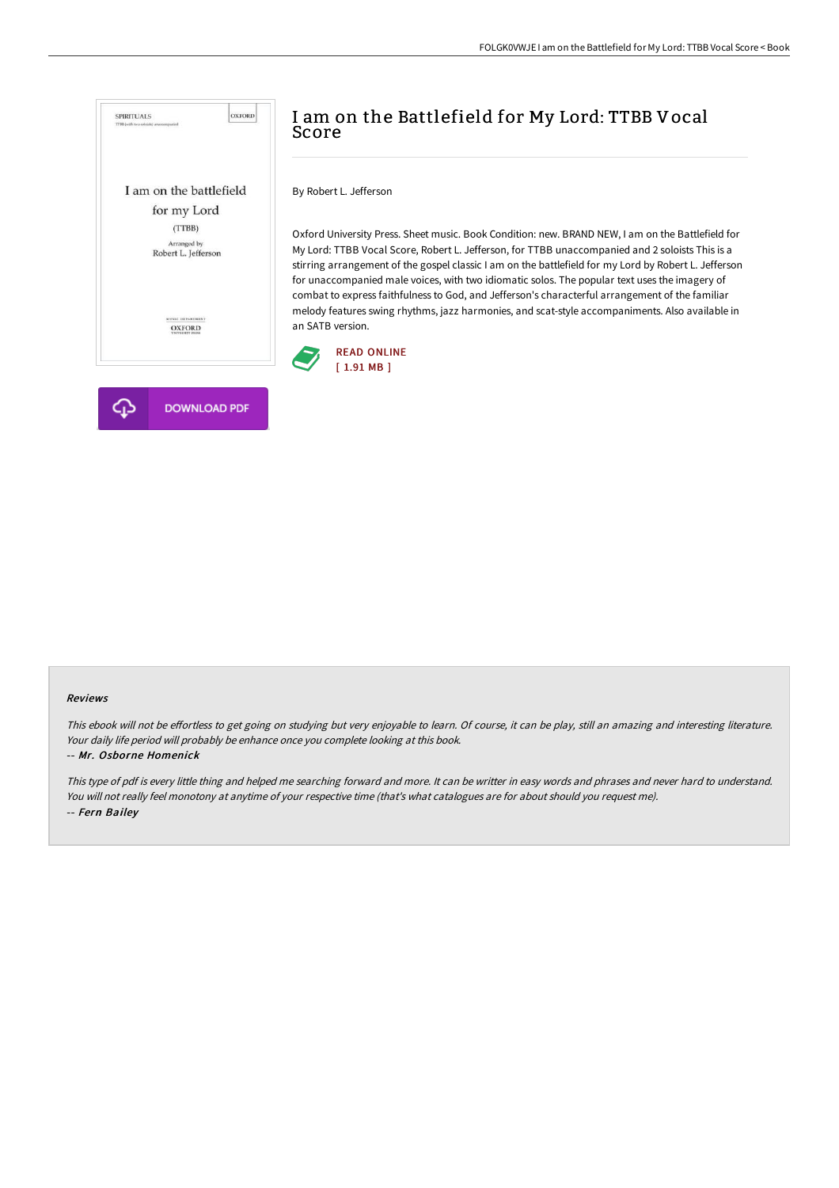

# I am on the Battlefield for My Lord: TTBB Vocal Score

By Robert L. Jefferson

Oxford University Press. Sheet music. Book Condition: new. BRAND NEW, I am on the Battlefield for My Lord: TTBB Vocal Score, Robert L. Jefferson, for TTBB unaccompanied and 2 soloists This is a stirring arrangement of the gospel classic I am on the battlefield for my Lord by Robert L. Jefferson for unaccompanied male voices, with two idiomatic solos. The popular text uses the imagery of combat to express faithfulness to God, and Jefferson's characterful arrangement of the familiar melody features swing rhythms, jazz harmonies, and scat-style accompaniments. Also available in an SATB version.



#### Reviews

This ebook will not be effortless to get going on studying but very enjoyable to learn. Of course, it can be play, still an amazing and interesting literature. Your daily life period will probably be enhance once you complete looking at this book.

#### -- Mr. Osborne Homenick

This type of pdf is every little thing and helped me searching forward and more. It can be writter in easy words and phrases and never hard to understand. You will not really feel monotony at anytime of your respective time (that's what catalogues are for about should you request me). -- Fern Bailey